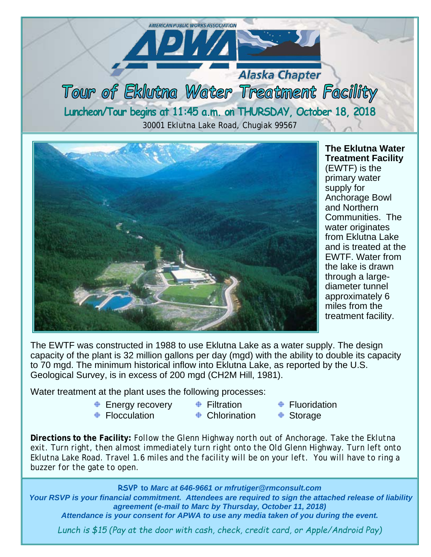**Alaska Chapter** Tour of Eklutna Water Treatment Facility **Luncheon/Tour begins at 11:45 a.m. on THURSDAY, October 18, 2018** 30001 Eklutna Lake Road, Chugiak 99567

**AMERICAN PUBLIC WORKS ASSOCIATION** 

<u> 1277 </u>



**The Eklutna Water Treatment Facility**  (EWTF) is the primary water supply for Anchorage Bowl and Northern Communities. The water originates from Eklutna Lake and is treated at the EWTF. Water from the lake is drawn through a largediameter tunnel approximately 6 miles from the treatment facility.

The EWTF was constructed in 1988 to use Eklutna Lake as a water supply. The design capacity of the plant is 32 million gallons per day (mgd) with the ability to double its capacity to 70 mgd. The minimum historical inflow into Eklutna Lake, as reported by the U.S. Geological Survey, is in excess of 200 mgd (CH2M Hill, 1981).

Water treatment at the plant uses the following processes:

- **<sup>⊕</sup> Energy recovery**
- **⊕** Filtration
- **+** Fluoridation
- **⊕** Flocculation
- **⊕** Chlorination
- Storage
- **Directions to the Facility:** *Follow the Glenn Highway north out of Anchorage. Take the Eklutna exit. Turn right, then almost immediately turn right onto the Old Glenn Highway. Turn left onto Eklutna Lake Road. Travel 1.6 miles and the facility will be on your left. You will have to ring a buzzer for the gate to open.*

**RSVP to** *Marc at 646-9661 or mfrutiger@rmconsult.com*

*Your RSVP is your financial commitment. Attendees are required to sign the attached release of liability agreement (e-mail to Marc by Thursday, October 11, 2018)*

*Attendance is your consent for APWA to use any media taken of you during the event.*

*Lunch is \$15 (Pay at the door with cash, check, credit card, or Apple/Android Pay)*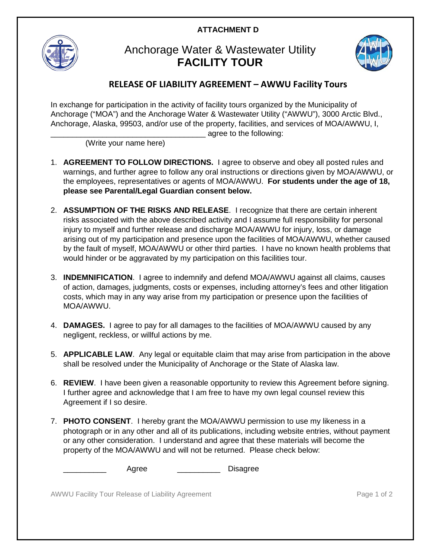## **ATTACHMENT D**



## Anchorage Water & Wastewater Utility **FACILITY TOUR**



## **RELEASE OF LIABILITY AGREEMENT – AWWU Facility Tours**

In exchange for participation in the activity of facility tours organized by the Municipality of Anchorage ("MOA") and the Anchorage Water & Wastewater Utility ("AWWU"), 3000 Arctic Blvd., Anchorage, Alaska, 99503, and/or use of the property, facilities, and services of MOA/AWWU, I, agree to the following:

(Write your name here)

- 1. **AGREEMENT TO FOLLOW DIRECTIONS.** I agree to observe and obey all posted rules and warnings, and further agree to follow any oral instructions or directions given by MOA/AWWU, or the employees, representatives or agents of MOA/AWWU. **For students under the age of 18, please see Parental/Legal Guardian consent below.**
- 2. **ASSUMPTION OF THE RISKS AND RELEASE**. I recognize that there are certain inherent risks associated with the above described activity and I assume full responsibility for personal injury to myself and further release and discharge MOA/AWWU for injury, loss, or damage arising out of my participation and presence upon the facilities of MOA/AWWU, whether caused by the fault of myself, MOA/AWWU or other third parties. I have no known health problems that would hinder or be aggravated by my participation on this facilities tour.
- 3. **INDEMNIFICATION**. I agree to indemnify and defend MOA/AWWU against all claims, causes of action, damages, judgments, costs or expenses, including attorney's fees and other litigation costs, which may in any way arise from my participation or presence upon the facilities of MOA/AWWU.
- 4. **DAMAGES.** I agree to pay for all damages to the facilities of MOA/AWWU caused by any negligent, reckless, or willful actions by me.
- 5. **APPLICABLE LAW**. Any legal or equitable claim that may arise from participation in the above shall be resolved under the Municipality of Anchorage or the State of Alaska law.
- 6. **REVIEW**. I have been given a reasonable opportunity to review this Agreement before signing. I further agree and acknowledge that I am free to have my own legal counsel review this Agreement if I so desire.
- 7. **PHOTO CONSENT**. I hereby grant the MOA/AWWU permission to use my likeness in a photograph or in any other and all of its publications, including website entries, without payment or any other consideration. I understand and agree that these materials will become the property of the MOA/AWWU and will not be returned. Please check below:

Agree **Disagree** 

AWWU Facility Tour Release of Liability Agreement **Page 1 of 2** and 2